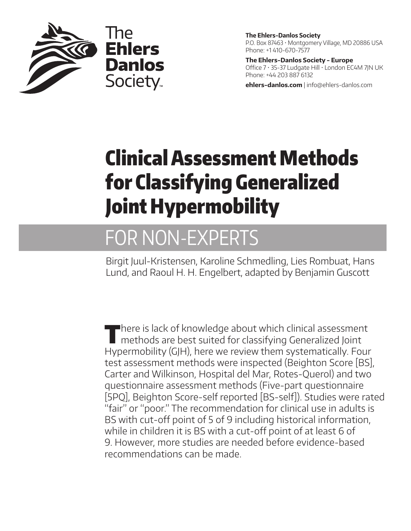

**The Ehlers-Danlos Society** P.O. Box 87463 • Montgomery Village, MD 20886 USA Phone: +1 410-670-7577

**The Ehlers-Danlos Society - Europe** Office 7 • 35-37 Ludgate Hill • London EC4M 7JN UK Phone: +44 203 887 6132

**ehlers-danlos.com** | info@ehlers-danlos.com

# Clinical Assessment Methods for Classifying Generalized Joint Hypermobility

## FOR NON-EXPERTS

Birgit Juul-Kristensen, Karoline Schmedling, Lies Rombuat, Hans Lund, and Raoul H. H. Engelbert, adapted by Benjamin Guscott

There is lack of knowledge about which clinical assessment<br>methods are best suited for classifying Generalized Joint Hypermobility (GJH), here we review them systematically. Four test assessment methods were inspected (Beighton Score [BS], Carter and Wilkinson, Hospital del Mar, Rotes-Querol) and two questionnaire assessment methods (Five-part questionnaire [5PQ], Beighton Score-self reported [BS-self]). Studies were rated "fair" or "poor." The recommendation for clinical use in adults is BS with cut-off point of 5 of 9 including historical information, while in children it is BS with a cut-off point of at least 6 of 9. However, more studies are needed before evidence-based recommendations can be made.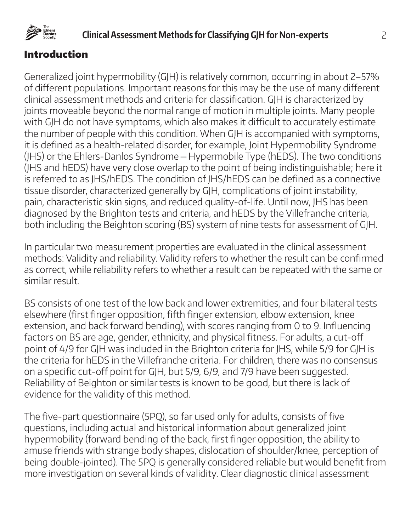

#### Introduction

Generalized joint hypermobility (GJH) is relatively common, occurring in about 2–57% of different populations. Important reasons for this may be the use of many different clinical assessment methods and criteria for classification. GJH is characterized by joints moveable beyond the normal range of motion in multiple joints. Many people with GJH do not have symptoms, which also makes it difficult to accurately estimate the number of people with this condition. When GJH is accompanied with symptoms, it is defined as a health-related disorder, for example, Joint Hypermobility Syndrome (JHS) or the Ehlers-Danlos Syndrome—Hypermobile Type (hEDS). The two conditions (JHS and hEDS) have very close overlap to the point of being indistinguishable; here it is referred to as JHS/hEDS. The condition of JHS/hEDS can be defined as a connective tissue disorder, characterized generally by GJH, complications of joint instability, pain, characteristic skin signs, and reduced quality-of-life. Until now, JHS has been diagnosed by the Brighton tests and criteria, and hEDS by the Villefranche criteria, both including the Beighton scoring (BS) system of nine tests for assessment of GJH.

In particular two measurement properties are evaluated in the clinical assessment methods: Validity and reliability. Validity refers to whether the result can be confirmed as correct, while reliability refers to whether a result can be repeated with the same or similar result.

BS consists of one test of the low back and lower extremities, and four bilateral tests elsewhere (first finger opposition, fifth finger extension, elbow extension, knee extension, and back forward bending), with scores ranging from 0 to 9. Influencing factors on BS are age, gender, ethnicity, and physical fitness. For adults, a cut-off point of 4/9 for GJH was included in the Brighton criteria for JHS, while 5/9 for GJH is the criteria for hEDS in the Villefranche criteria. For children, there was no consensus on a specific cut-off point for GJH, but 5/9, 6/9, and 7/9 have been suggested. Reliability of Beighton or similar tests is known to be good, but there is lack of evidence for the validity of this method.

The five-part questionnaire (5PQ), so far used only for adults, consists of five questions, including actual and historical information about generalized joint hypermobility (forward bending of the back, first finger opposition, the ability to amuse friends with strange body shapes, dislocation of shoulder/knee, perception of being double-jointed). The 5PQ is generally considered reliable but would benefit from more investigation on several kinds of validity. Clear diagnostic clinical assessment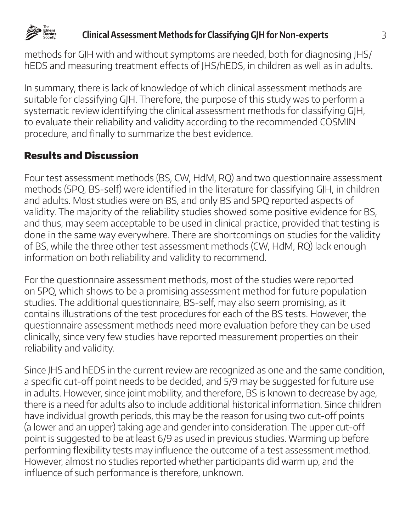

#### **Clinical Assessment Methods for Classifying GJH for Non-experts** 3

methods for GJH with and without symptoms are needed, both for diagnosing JHS/ hEDS and measuring treatment effects of JHS/hEDS, in children as well as in adults.

In summary, there is lack of knowledge of which clinical assessment methods are suitable for classifying GJH. Therefore, the purpose of this study was to perform a systematic review identifying the clinical assessment methods for classifying GJH, to evaluate their reliability and validity according to the recommended COSMIN procedure, and finally to summarize the best evidence.

### Results and Discussion

Four test assessment methods (BS, CW, HdM, RQ) and two questionnaire assessment methods (5PQ, BS-self) were identified in the literature for classifying GJH, in children and adults. Most studies were on BS, and only BS and 5PQ reported aspects of validity. The majority of the reliability studies showed some positive evidence for BS, and thus, may seem acceptable to be used in clinical practice, provided that testing is done in the same way everywhere. There are shortcomings on studies for the validity of BS, while the three other test assessment methods (CW, HdM, RQ) lack enough information on both reliability and validity to recommend.

For the questionnaire assessment methods, most of the studies were reported on 5PQ, which shows to be a promising assessment method for future population studies. The additional questionnaire, BS-self, may also seem promising, as it contains illustrations of the test procedures for each of the BS tests. However, the questionnaire assessment methods need more evaluation before they can be used clinically, since very few studies have reported measurement properties on their reliability and validity.

Since JHS and hEDS in the current review are recognized as one and the same condition, a specific cut-off point needs to be decided, and 5/9 may be suggested for future use in adults. However, since joint mobility, and therefore, BS is known to decrease by age, there is a need for adults also to include additional historical information. Since children have individual growth periods, this may be the reason for using two cut-off points (a lower and an upper) taking age and gender into consideration. The upper cut-off point is suggested to be at least 6/9 as used in previous studies. Warming up before performing flexibility tests may influence the outcome of a test assessment method. However, almost no studies reported whether participants did warm up, and the influence of such performance is therefore, unknown.